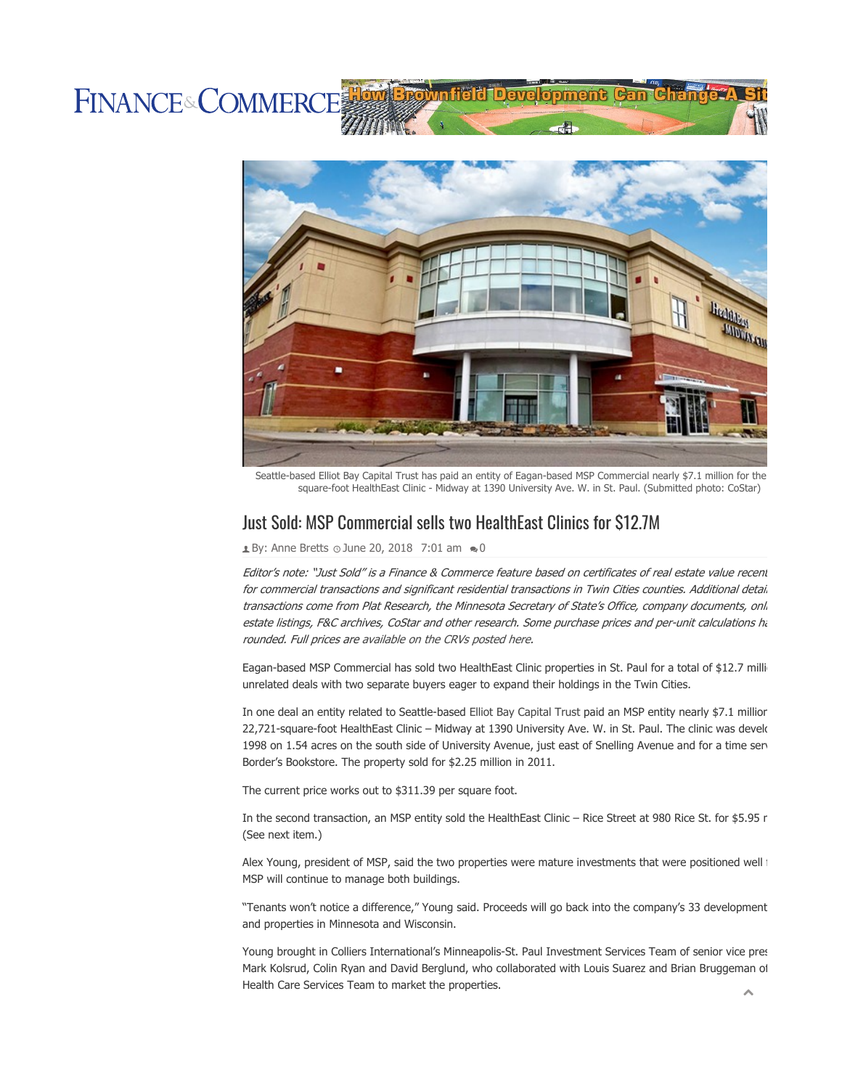# **FINANCE&COMMERCE**

pment Can Ch



Seattle-based Elliot Bay Capital Trust has paid an entity of Eagan-based MSP Commercial nearly \$7.1 million for the square-foot HealthEast Clinic - Midway at 1390 University Ave. W. in St. Paul. (Submitted photo: CoStar)

## Just Sold: MSP Commercial sells two HealthEast Clinics for \$12.7M

 $\triangle$  By: Anne Bretts  $\odot$  June 20, 2018 7:01 am  $\odot$  0

Editor's note: "Just Sold" is a Finance & Commerce feature based on certificates of real estate value recent for commercial transactions and significant residential transactions in Twin Cities counties. Additional detail transactions come from Plat Research, the Minnesota Secretary of State's Office, company documents, onl. estate listings, F&C archives, CoStar and other research. Some purchase prices and per-unit calculations have rounded. Full prices are available on the CRVs posted here.

Eagan-based MSP Commercial has sold two HealthEast Clinic properties in St. Paul for a total of \$12.7 million unrelated deals with two separate buyers eager to expand their holdings in the Twin Cities.

In one deal an entity related to Seattle-based Elliot Bay Capital Trust paid an MSP entity nearly \$7.1 millior 22,721-square-foot HealthEast Clinic – Midway at 1390 University Ave. W. in St. Paul. The clinic was develough 1998 on 1.54 acres on the south side of University Avenue, just east of Snelling Avenue and for a time sen Border's Bookstore. The property sold for \$2.25 million in 2011.

The current price works out to \$311.39 per square foot.

In the second transaction, an MSP entity sold the HealthEast Clinic – Rice Street at 980 Rice St. for \$5.95 r (See next item.)

Alex Young, president of MSP, said the two properties were mature investments that were positioned well for MSP will continue to manage both buildings.

"Tenants won't notice a difference," Young said. Proceeds will go back into the company's 33 development and properties in Minnesota and Wisconsin.

Young brought in Colliers International's Minneapolis-St. Paul Investment Services Team of senior vice presidents Mark Kolsrud, Colin Ryan and David Berglund, who collaborated with Louis Suarez and Brian Bruggeman of Health Care Services Team to market the properties.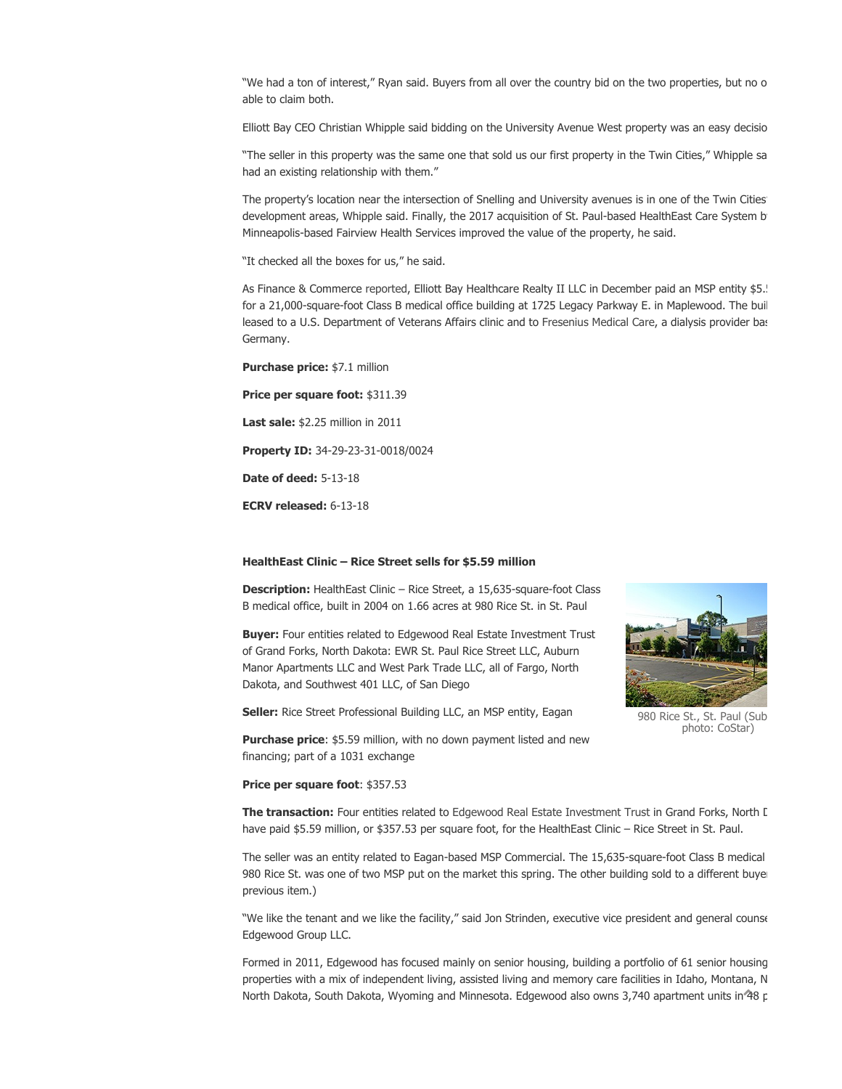"We had a ton of interest," Ryan said. Buyers from all over the country bid on the two properties, but no o able to claim both.

Elliott Bay CEO Christian Whipple said bidding on the University Avenue West property was an easy decisio

"The seller in this property was the same one that sold us our first property in the Twin Cities," Whipple sai had an existing relationship with them."

The property's location near the intersection of Snelling and University avenues is in one of the Twin Cities' development areas, Whipple said. Finally, the 2017 acquisition of St. Paul-based HealthEast Care System b Minneapolis-based Fairview Health Services improved the value of the property, he said.

"It checked all the boxes for us," he said.

As Finance & Commerce reported, Elliott Bay Healthcare Realty II LLC in December paid an MSP entity \$5. for a 21,000-square-foot Class B medical office building at 1725 Legacy Parkway E. in Maplewood. The buil leased to a U.S. Department of Veterans Affairs clinic and to Fresenius Medical Care, a dialysis provider bas Germany.

Purchase price: \$7.1 million

Price per square foot: \$311.39

Last sale: \$2.25 million in 2011

Property ID: 34-29-23-31-0018/0024

Date of deed: 5-13-18

ECRV released: 6-13-18

#### HealthEast Clinic – Rice Street sells for \$5.59 million

Description: HealthEast Clinic – Rice Street, a 15,635-square-foot Class B medical office, built in 2004 on 1.66 acres at 980 Rice St. in St. Paul

**Buyer:** Four entities related to Edgewood Real Estate Investment Trust of Grand Forks, North Dakota: EWR St. Paul Rice Street LLC, Auburn Manor Apartments LLC and West Park Trade LLC, all of Fargo, North Dakota, and Southwest 401 LLC, of San Diego



980 Rice St., St. Paul (Sub photo: CoStar)

Seller: Rice Street Professional Building LLC, an MSP entity, Eagan

Purchase price: \$5.59 million, with no down payment listed and new financing; part of a 1031 exchange

#### Price per square foot: \$357.53

The transaction: Four entities related to Edgewood Real Estate Investment Trust in Grand Forks, North I have paid \$5.59 million, or \$357.53 per square foot, for the HealthEast Clinic - Rice Street in St. Paul.

The seller was an entity related to Eagan-based MSP Commercial. The 15,635-square-foot Class B medical 980 Rice St. was one of two MSP put on the market this spring. The other building sold to a different buyer. previous item.)

"We like the tenant and we like the facility," said Jon Strinden, executive vice president and general counsel Edgewood Group LLC.

Formed in 2011, Edgewood has focused mainly on senior housing, building a portfolio of 61 senior housing properties with a mix of independent living, assisted living and memory care facilities in Idaho, Montana, N North Dakota, South Dakota, Wyoming and Minnesota. Edgewood also owns 3,740 apartment units in 48 p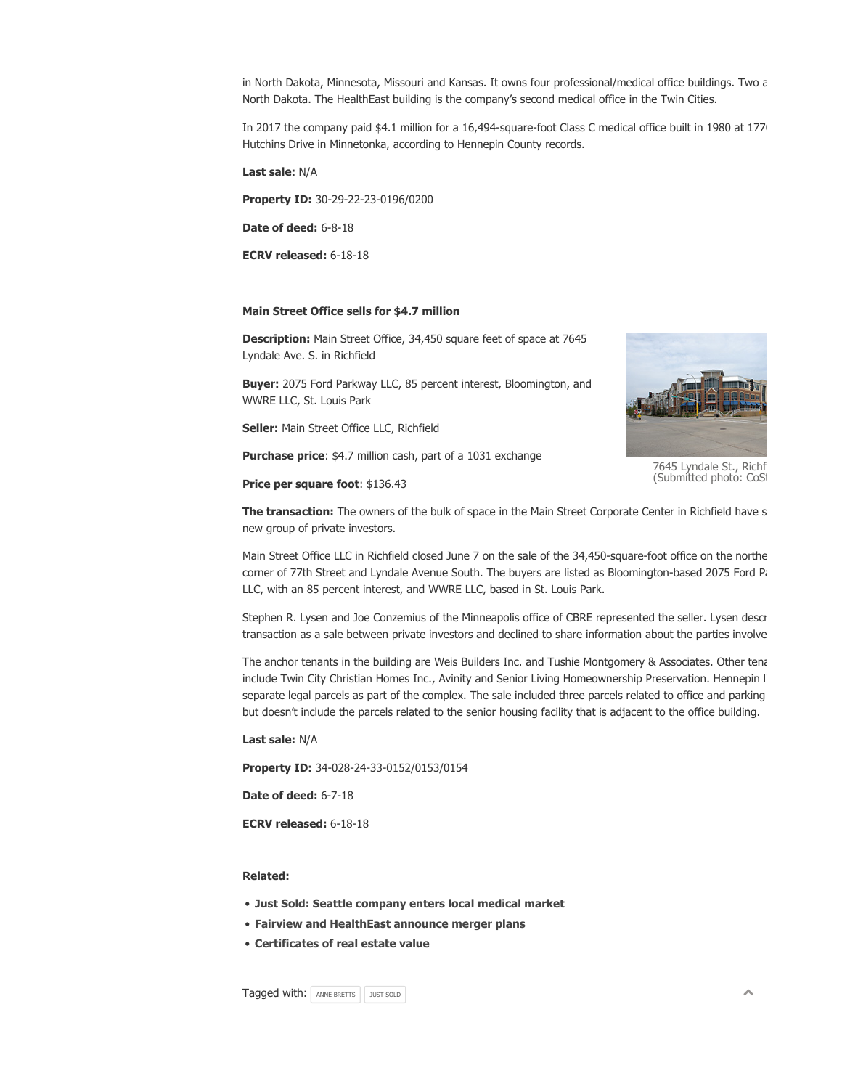in North Dakota, Minnesota, Missouri and Kansas. It owns four professional/medical office buildings. Two a North Dakota. The HealthEast building is the company's second medical office in the Twin Cities.

In 2017 the company paid \$4.1 million for a 16,494-square-foot Class C medical office built in 1980 at 1770 Hutchins Drive in Minnetonka, according to Hennepin County records.

Last sale: N/A

Property ID: 30-29-22-23-0196/0200

Date of deed: 6-8-18

ECRV released: 6-18-18

#### Main Street Office sells for \$4.7 million

Description: Main Street Office, 34,450 square feet of space at 7645 Lyndale Ave. S. in Richfield

Buyer: 2075 Ford Parkway LLC, 85 percent interest, Bloomington, and WWRE LLC, St. Louis Park

Seller: Main Street Office LLC, Richfield

Purchase price: \$4.7 million cash, part of a 1031 exchange

Price per square foot: \$136.43



7645 Lyndale St., Richf (Submitted photo: CoSI

The transaction: The owners of the bulk of space in the Main Street Corporate Center in Richfield have s new group of private investors.

Main Street Office LLC in Richfield closed June 7 on the sale of the 34,450-square-foot office on the northe corner of 77th Street and Lyndale Avenue South. The buyers are listed as Bloomington-based 2075 Ford Pa LLC, with an 85 percent interest, and WWRE LLC, based in St. Louis Park.

Stephen R. Lysen and Joe Conzemius of the Minneapolis office of CBRE represented the seller. Lysen described the transaction as a sale between private investors and declined to share information about the parties involve

The anchor tenants in the building are Weis Builders Inc. and Tushie Montgomery & Associates. Other tena include Twin City Christian Homes Inc., Avinity and Senior Living Homeownership Preservation. Hennepin li separate legal parcels as part of the complex. The sale included three parcels related to office and parking but doesn't include the parcels related to the senior housing facility that is adjacent to the office building.

Last sale: N/A

Property ID: 34-028-24-33-0152/0153/0154

Date of deed: 6-7-18

ECRV released: 6-18-18

### Related:

- Just Sold: Seattle company enters local medical market
- Fairview and HealthEast announce merger plans
- Certificates of real estate value

Tagged with: | ANNE BRETTS | JUST SOLD